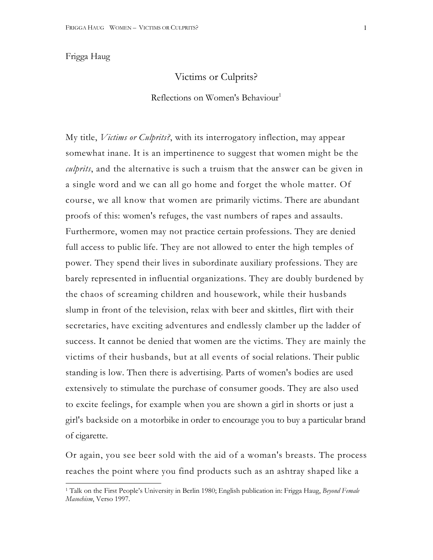Frigga Haug

 $\overline{a}$ 

## Victims or Culprits?

Reflections on Women's Behaviour<sup>1</sup>

My title, Victims or Culprits?, with its interrogatory inflection, may appear somewhat inane. It is an impertinence to suggest that women might be the *culprits*, and the alternative is such a truism that the answer can be given in a single word and we can all go home and forget the whole matter. Of course, we all know that women are primarily victims. There are abundant proofs of this: women's refuges, the vast numbers of rapes and assaults. Furthermore, women may not practice certain professions. They are denied full access to public life. They are not allowed to enter the high temples of power. They spend their lives in subordinate auxiliary professions. They are barely represented in influential organizations. They are doubly burdened by the chaos of screaming children and housework, while their husbands slump in front of the television, relax with beer and skittles, flirt with their secretaries, have exciting adventures and endlessly clamber up the ladder of success. It cannot be denied that women are the victims. They are mainly the victims of their husbands, but at all events of social relations. Their public standing is low. Then there is advertising. Parts of women's bodies are used extensively to stimulate the purchase of consumer goods. They are also used to excite feelings, for example when you are shown a girl in shorts or just a girl's backside on a motorbike in order to encourage you to buy a particular brand of cigarette.

Or again, you see beer sold with the aid of a woman's breasts. The process reaches the point where you find products such as an ashtray shaped like a

<sup>&</sup>lt;sup>1</sup> Talk on the First People's University in Berlin 1980; English publication in: Frigga Haug, Beyond Female Masochism, Verso 1997.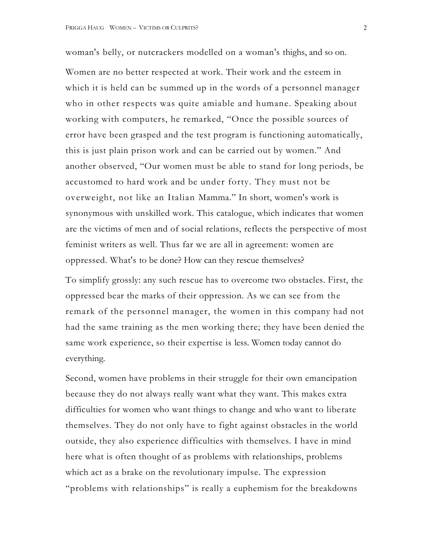woman's belly, or nutcrackers modelled on a woman's thighs, and so on. Women are no better respected at work. Their work and the esteem in which it is held can be summed up in the words of a personnel manager who in other respects was quite amiable and humane. Speaking about working with computers, he remarked, "Once the possible sources of error have been grasped and the test program is functioning automatically, this is just plain prison work and can be carried out by women." And another observed, "Our women must be able to stand for long periods, be accustomed to hard work and be under forty. They must not be overweight, not like an Italian Mamma." In short, women's work is synonymous with unskilled work. This catalogue, which indicates that women are the victims of men and of social relations, reflects the perspective of most feminist writers as well. Thus far we are all in agreement: women are oppressed. What's to be done? How can they rescue themselves?

To simplify grossly: any such rescue has to overcome two obstacles. First, the oppressed bear the marks of their oppression. As we can see from the remark of the personnel manager, the women in this company had not had the same training as the men working there; they have been denied the same work experience, so their expertise is less. Women today cannot do everything.

Second, women have problems in their struggle for their own emancipation because they do not always really want what they want. This makes extra difficulties for women who want things to change and who want to liberate themselves. They do not only have to fight against obstacles in the world outside, they also experience difficulties with themselves. I have in mind here what is often thought of as problems with relationships, problems which act as a brake on the revolutionary impulse. The expression "problems with relationships" is really a euphemism for the breakdowns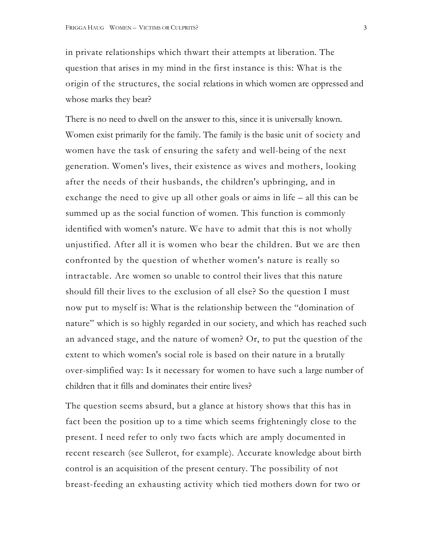in private relationships which thwart their attempts at liberation. The question that arises in my mind in the first instance is this: What is the origin of the structures, the social relations in which women are oppressed and whose marks they bear?

There is no need to dwell on the answer to this, since it is universally known. Women exist primarily for the family. The family is the basic unit of society and women have the task of ensuring the safety and well-being of the next generation. Women's lives, their existence as wives and mothers, looking after the needs of their husbands, the children's upbringing, and in exchange the need to give up all other goals or aims in life – all this can be summed up as the social function of women. This function is commonly identified with women's nature. We have to admit that this is not wholly unjustified. After all it is women who bear the children. But we are then confronted by the question of whether women's nature is really so intractable. Are women so unable to control their lives that this nature should fill their lives to the exclusion of all else? So the question I must now put to myself is: What is the relationship between the "domination of nature" which is so highly regarded in our society, and which has reached such an advanced stage, and the nature of women? Or, to put the question of the extent to which women's social role is based on their nature in a brutally over-simplified way: Is it necessary for women to have such a large number of children that it fills and dominates their entire lives?

The question seems absurd, but a glance at history shows that this has in fact been the position up to a time which seems frighteningly close to the present. I need refer to only two facts which are amply documented in recent research (see Sullerot, for example). Accurate knowledge about birth control is an acquisition of the present century. The possibility of not breast-feeding an exhausting activity which tied mothers down for two or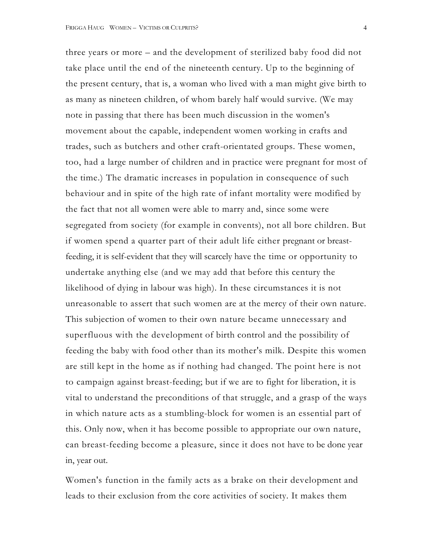three years or more – and the development of sterilized baby food did not take place until the end of the nineteenth century. Up to the beginning of the present century, that is, a woman who lived with a man might give birth to as many as nineteen children, of whom barely half would survive. (We may note in passing that there has been much discussion in the women's movement about the capable, independent women working in crafts and trades, such as butchers and other craft-orientated groups. These women, too, had a large number of children and in practice were pregnant for most of the time.) The dramatic increases in population in consequence of such behaviour and in spite of the high rate of infant mortality were modified by the fact that not all women were able to marry and, since some were segregated from society (for example in convents), not all bore children. But if women spend a quarter part of their adult life either pregnant or breastfeeding, it is self-evident that they will scarcely have the time or opportunity to undertake anything else (and we may add that before this century the likelihood of dying in labour was high). In these circumstances it is not unreasonable to assert that such women are at the mercy of their own nature. This subjection of women to their own nature became unnecessary and superfluous with the development of birth control and the possibility of feeding the baby with food other than its mother's milk. Despite this women are still kept in the home as if nothing had changed. The point here is not to campaign against breast-feeding; but if we are to fight for liberation, it is vital to understand the preconditions of that struggle, and a grasp of the ways in which nature acts as a stumbling-block for women is an essential part of this. Only now, when it has become possible to appropriate our own nature, can breast-feeding become a pleasure, since it does not have to be done year in, year out.

Women's function in the family acts as a brake on their development and leads to their exclusion from the core activities of society. It makes them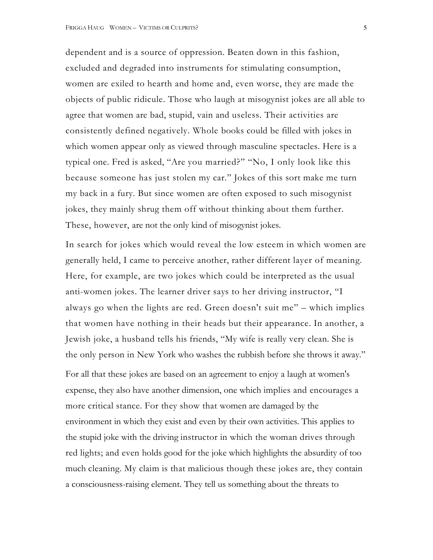dependent and is a source of oppression. Beaten down in this fashion, excluded and degraded into instruments for stimulating consumption, women are exiled to hearth and home and, even worse, they are made the objects of public ridicule. Those who laugh at misogynist jokes are all able to agree that women are bad, stupid, vain and useless. Their activities are consistently defined negatively. Whole books could be filled with jokes in which women appear only as viewed through masculine spectacles. Here is a typical one. Fred is asked, "Are you married?" "No, I only look like this because someone has just stolen my car." Jokes of this sort make me turn my back in a fury. But since women are often exposed to such misogynist jokes, they mainly shrug them off without thinking about them further. These, however, are not the only kind of misogynist jokes.

In search for jokes which would reveal the low esteem in which women are generally held, I came to perceive another, rather different layer of meaning. Here, for example, are two jokes which could be interpreted as the usual anti-women jokes. The learner driver says to her driving instructor, "I always go when the lights are red. Green doesn't suit me" – which implies that women have nothing in their heads but their appearance. In another, a Jewish joke, a husband tells his friends, "My wife is really very clean. She is the only person in New York who washes the rubbish before she throws it away."

For all that these jokes are based on an agreement to enjoy a laugh at women's expense, they also have another dimension, one which implies and encourages a more critical stance. For they show that women are damaged by the environment in which they exist and even by their own activities. This applies to the stupid joke with the driving instructor in which the woman drives through red lights; and even holds good for the joke which highlights the absurdity of too much cleaning. My claim is that malicious though these jokes are, they contain a consciousness-raising element. They tell us something about the threats to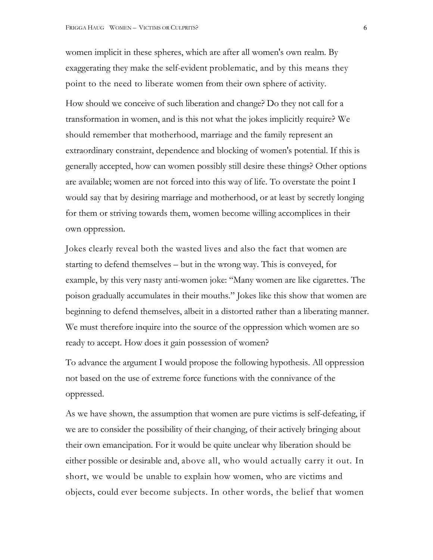women implicit in these spheres, which are after all women's own realm. By exaggerating they make the self-evident problematic, and by this means they point to the need to liberate women from their own sphere of activity. How should we conceive of such liberation and change? Do they not call for a

transformation in women, and is this not what the jokes implicitly require? We should remember that motherhood, marriage and the family represent an extraordinary constraint, dependence and blocking of women's potential. If this is generally accepted, how can women possibly still desire these things? Other options are available; women are not forced into this way of life. To overstate the point I would say that by desiring marriage and motherhood, or at least by secretly longing for them or striving towards them, women become willing accomplices in their own oppression.

Jokes clearly reveal both the wasted lives and also the fact that women are starting to defend themselves – but in the wrong way. This is conveyed, for example, by this very nasty anti-women joke: "Many women are like cigarettes. The poison gradually accumulates in their mouths." Jokes like this show that women are beginning to defend themselves, albeit in a distorted rather than a liberating manner. We must therefore inquire into the source of the oppression which women are so ready to accept. How does it gain possession of women?

To advance the argument I would propose the following hypothesis. All oppression not based on the use of extreme force functions with the connivance of the oppressed.

As we have shown, the assumption that women are pure victims is self-defeating, if we are to consider the possibility of their changing, of their actively bringing about their own emancipation. For it would be quite unclear why liberation should be either possible or desirable and, above all, who would actually carry it out. In short, we would be unable to explain how women, who are victims and objects, could ever become subjects. In other words, the belief that women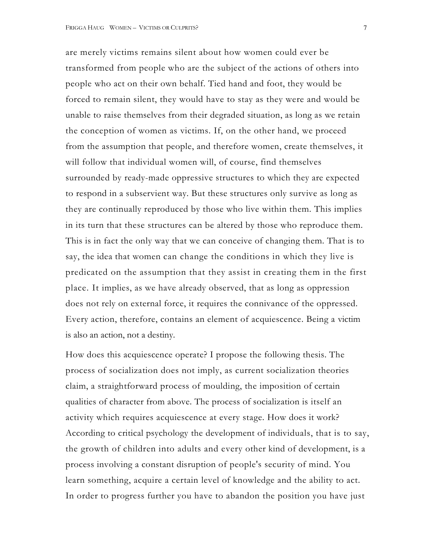are merely victims remains silent about how women could ever be transformed from people who are the subject of the actions of others into people who act on their own behalf. Tied hand and foot, they would be forced to remain silent, they would have to stay as they were and would be unable to raise themselves from their degraded situation, as long as we retain the conception of women as victims. If, on the other hand, we proceed from the assumption that people, and therefore women, create themselves, it will follow that individual women will, of course, find themselves surrounded by ready-made oppressive structures to which they are expected to respond in a subservient way. But these structures only survive as long as they are continually reproduced by those who live within them. This implies in its turn that these structures can be altered by those who reproduce them. This is in fact the only way that we can conceive of changing them. That is to say, the idea that women can change the conditions in which they live is predicated on the assumption that they assist in creating them in the first place. It implies, as we have already observed, that as long as oppression does not rely on external force, it requires the connivance of the oppressed. Every action, therefore, contains an element of acquiescence. Being a victim is also an action, not a destiny.

How does this acquiescence operate? I propose the following thesis. The process of socialization does not imply, as current socialization theories claim, a straightforward process of moulding, the imposition of certain qualities of character from above. The process of socialization is itself an activity which requires acquiescence at every stage. How does it work? According to critical psychology the development of individuals, that is to say, the growth of children into adults and every other kind of development, is a process involving a constant disruption of people's security of mind. You learn something, acquire a certain level of knowledge and the ability to act. In order to progress further you have to abandon the position you have just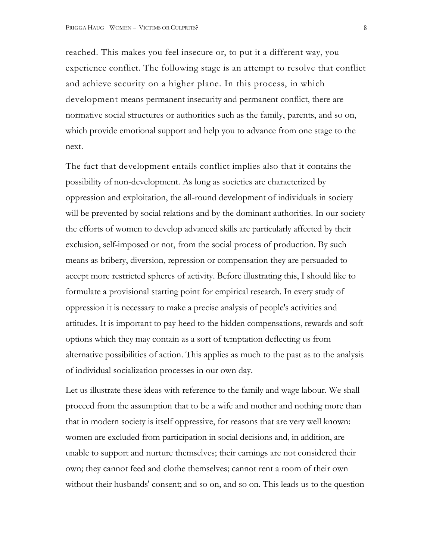reached. This makes you feel insecure or, to put it a different way, you experience conflict. The following stage is an attempt to resolve that conflict and achieve security on a higher plane. In this process, in which development means permanent insecurity and permanent conflict, there are normative social structures or authorities such as the family, parents, and so on, which provide emotional support and help you to advance from one stage to the next.

The fact that development entails conflict implies also that it contains the possibility of non-development. As long as societies are characterized by oppression and exploitation, the all-round development of individuals in society will be prevented by social relations and by the dominant authorities. In our society the efforts of women to develop advanced skills are particularly affected by their exclusion, self-imposed or not, from the social process of production. By such means as bribery, diversion, repression or compensation they are persuaded to accept more restricted spheres of activity. Before illustrating this, I should like to formulate a provisional starting point for empirical research. In every study of oppression it is necessary to make a precise analysis of people's activities and attitudes. It is important to pay heed to the hidden compensations, rewards and soft options which they may contain as a sort of temptation deflecting us from alternative possibilities of action. This applies as much to the past as to the analysis of individual socialization processes in our own day.

Let us illustrate these ideas with reference to the family and wage labour. We shall proceed from the assumption that to be a wife and mother and nothing more than that in modern society is itself oppressive, for reasons that are very well known: women are excluded from participation in social decisions and, in addition, are unable to support and nurture themselves; their earnings are not considered their own; they cannot feed and clothe themselves; cannot rent a room of their own without their husbands' consent; and so on, and so on. This leads us to the question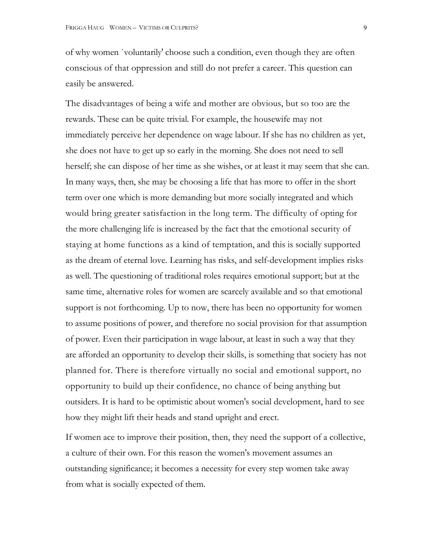of why women `voluntarily' choose such a condition, even though they are often conscious of that oppression and still do not prefer a career. This question can easily be answered.

The disadvantages of being a wife and mother are obvious, but so too are the rewards. These can be quite trivial. For example, the housewife may not immediately perceive her dependence on wage labour. If she has no children as yet, she does not have to get up so early in the morning. She does not need to sell herself; she can dispose of her time as she wishes, or at least it may seem that she can. In many ways, then, she may be choosing a life that has more to offer in the short term over one which is more demanding but more socially integrated and which would bring greater satisfaction in the long term. The difficulty of opting for the more challenging life is increased by the fact that the emotional security of staying at home functions as a kind of temptation, and this is socially supported as the dream of eternal love. Learning has risks, and self-development implies risks as well. The questioning of traditional roles requires emotional support; but at the same time, alternative roles for women are scarcely available and so that emotional support is not forthcoming. Up to now, there has been no opportunity for women to assume positions of power, and therefore no social provision for that assumption of power. Even their participation in wage labour, at least in such a way that they are afforded an opportunity to develop their skills, is something that society has not planned for. There is therefore virtually no social and emotional support, no opportunity to build up their confidence, no chance of being anything but outsiders. It is hard to be optimistic about women's social development, hard to see how they might lift their heads and stand upright and erect.

If women ace to improve their position, then, they need the support of a collective, a culture of their own. For this reason the women's movement assumes an outstanding significance; it becomes a necessity for every step women take away from what is socially expected of them.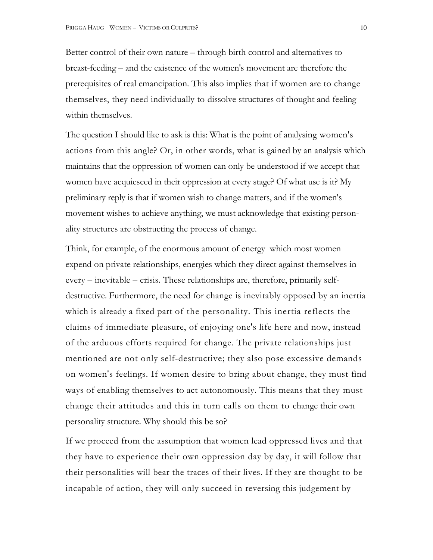Better control of their own nature – through birth control and alternatives to breast-feeding – and the existence of the women's movement are therefore the prerequisites of real emancipation. This also implies that if women are to change themselves, they need individually to dissolve structures of thought and feeling within themselves.

The question I should like to ask is this: What is the point of analysing women's actions from this angle? Or, in other words, what is gained by an analysis which maintains that the oppression of women can only be understood if we accept that women have acquiesced in their oppression at every stage? Of what use is it? My preliminary reply is that if women wish to change matters, and if the women's movement wishes to achieve anything, we must acknowledge that existing personality structures are obstructing the process of change.

Think, for example, of the enormous amount of energy which most women expend on private relationships, energies which they direct against themselves in every – inevitable – crisis. These relationships are, therefore, primarily selfdestructive. Furthermore, the need for change is inevitably opposed by an inertia which is already a fixed part of the personality. This inertia reflects the claims of immediate pleasure, of enjoying one's life here and now, instead of the arduous efforts required for change. The private relationships just mentioned are not only self-destructive; they also pose excessive demands on women's feelings. If women desire to bring about change, they must find ways of enabling themselves to act autonomously. This means that they must change their attitudes and this in turn calls on them to change their own personality structure. Why should this be so?

If we proceed from the assumption that women lead oppressed lives and that they have to experience their own oppression day by day, it will follow that their personalities will bear the traces of their lives. If they are thought to be incapable of action, they will only succeed in reversing this judgement by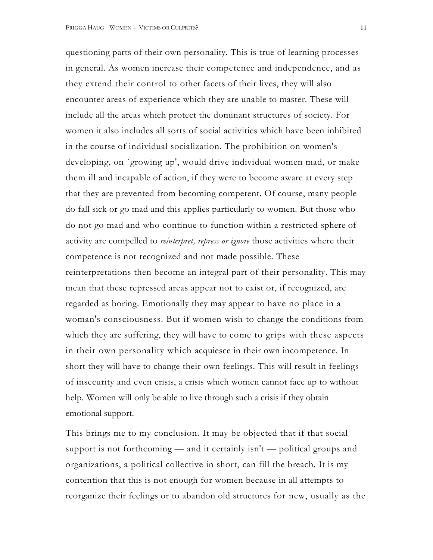questioning parts of their own personality. This is true of learning processes in general. As women increase their competence and independence, and as they extend their control to other facets of their lives, they will also encounter areas of experience which they are unable to master. These will include all the areas which protect the dominant structures of society. For women it also includes all sorts of social activities which have been inhibited in the course of individual socialization. The prohibition on women's developing, on `growing up', would drive individual women mad, or make them ill and incapable of action, if they were to become aware at every step that they are prevented from becoming competent. Of course, many people do fall sick or go mad and this applies particularly to women. But those who do not go mad and who continue to function within a restricted sphere of activity are compelled to *reinterpret, repress or ignore* those activities where their competence is not recognized and not made possible. These reinterpretations then become an integral part of their personality. This may mean that these repressed areas appear not to exist or, if recognized, are regarded as boring. Emotionally they may appear to have no place in a woman's consciousness. But if women wish to change the conditions from which they are suffering, they will have to come to grips with these aspects in their own personality which acquiesce in their own incompetence. In short they will have to change their own feelings. This will result in feelings of insecurity and even crisis, a crisis which women cannot face up to without help. Women will only be able to live through such a crisis if they obtain emotional support.

This brings me to my conclusion. It may be objected that if that social support is not forthcoming — and it certainly isn't — political groups and organizations, a political collective in short, can fill the breach. It is my contention that this is not enough for women because in all attempts to reorganize their feelings or to abandon old structures for new, usually as the